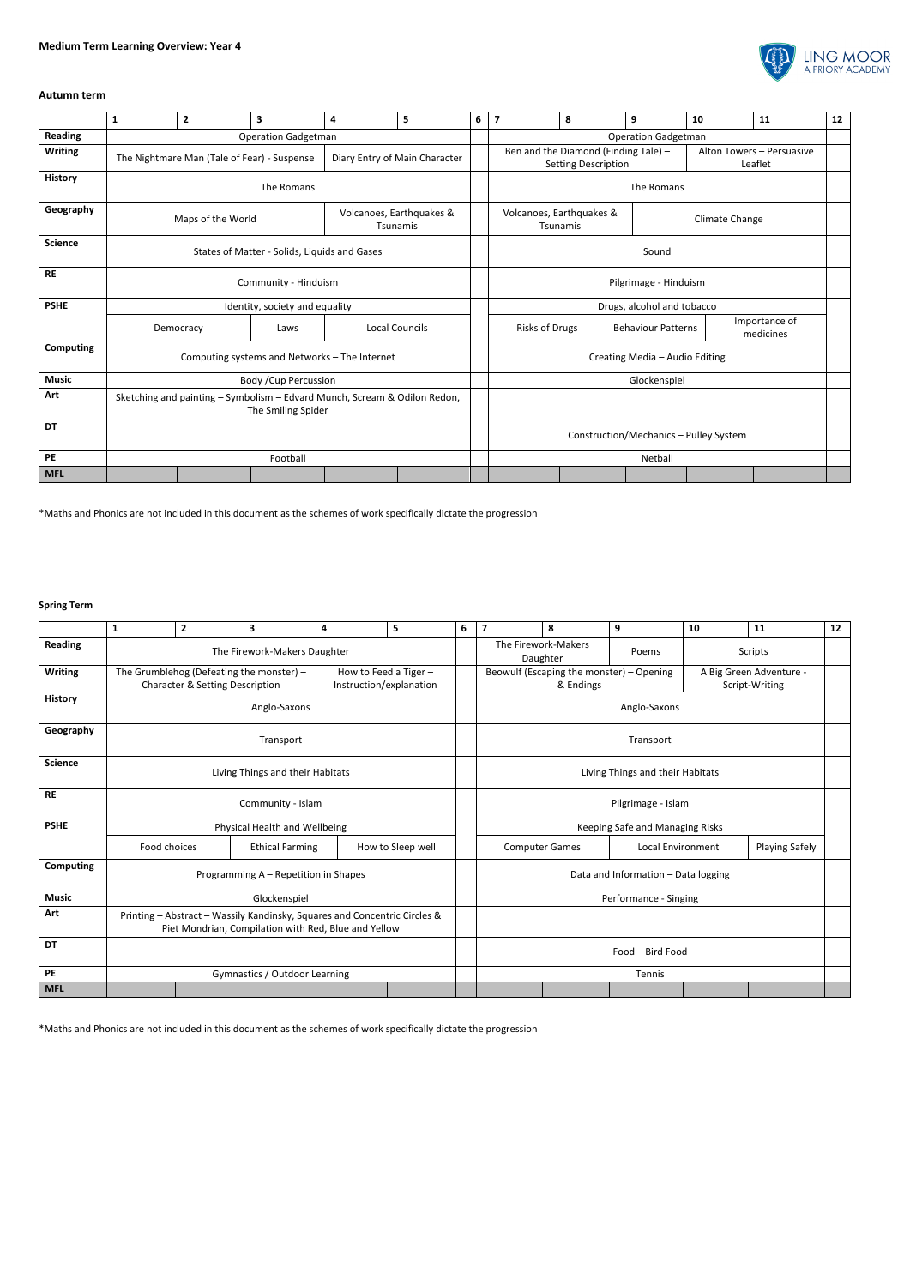

## **Autumn term**

|                  | $\mathbf{1}$                                                                                    | $\overline{2}$    | 3                                            | 4                                    | 5                     | 6 | $\overline{7}$                                                                                             | 8 | 9                         | 10 | 11                         | 12 |
|------------------|-------------------------------------------------------------------------------------------------|-------------------|----------------------------------------------|--------------------------------------|-----------------------|---|------------------------------------------------------------------------------------------------------------|---|---------------------------|----|----------------------------|----|
| <b>Reading</b>   | <b>Operation Gadgetman</b>                                                                      |                   |                                              |                                      |                       |   | <b>Operation Gadgetman</b>                                                                                 |   |                           |    |                            |    |
| <b>Writing</b>   | The Nightmare Man (Tale of Fear) - Suspense<br>Diary Entry of Main Character                    |                   |                                              |                                      |                       |   | Ben and the Diamond (Finding Tale) -<br>Alton Towers - Persuasive<br>Leaflet<br><b>Setting Description</b> |   |                           |    |                            |    |
| <b>History</b>   | The Romans                                                                                      |                   |                                              |                                      |                       |   | The Romans                                                                                                 |   |                           |    |                            |    |
| Geography        |                                                                                                 | Maps of the World |                                              | Volcanoes, Earthquakes &<br>Tsunamis |                       |   | Volcanoes, Earthquakes &<br>Climate Change<br>Tsunamis                                                     |   |                           |    |                            |    |
| <b>Science</b>   |                                                                                                 |                   | States of Matter - Solids, Liquids and Gases |                                      | Sound                 |   |                                                                                                            |   |                           |    |                            |    |
| <b>RE</b>        |                                                                                                 |                   | Community - Hinduism                         |                                      | Pilgrimage - Hinduism |   |                                                                                                            |   |                           |    |                            |    |
| <b>PSHE</b>      | Identity, society and equality                                                                  |                   |                                              |                                      |                       |   | Drugs, alcohol and tobacco                                                                                 |   |                           |    |                            |    |
|                  |                                                                                                 | Democracy         | Laws                                         | Local Councils                       |                       |   | Risks of Drugs                                                                                             |   | <b>Behaviour Patterns</b> |    | Importance of<br>medicines |    |
| <b>Computing</b> | Computing systems and Networks - The Internet                                                   |                   |                                              |                                      |                       |   | Creating Media - Audio Editing                                                                             |   |                           |    |                            |    |
| <b>Music</b>     |                                                                                                 |                   | Body / Cup Percussion                        |                                      | Glockenspiel          |   |                                                                                                            |   |                           |    |                            |    |
| Art              | Sketching and painting - Symbolism - Edvard Munch, Scream & Odilon Redon,<br>The Smiling Spider |                   |                                              |                                      |                       |   |                                                                                                            |   |                           |    |                            |    |
| <b>DT</b>        |                                                                                                 |                   |                                              |                                      |                       |   | Construction/Mechanics - Pulley System                                                                     |   |                           |    |                            |    |
| PE               | Football                                                                                        |                   |                                              |                                      |                       |   |                                                                                                            |   | Netball                   |    |                            |    |
| <b>MFL</b>       |                                                                                                 |                   |                                              |                                      |                       |   |                                                                                                            |   |                           |    |                            |    |

\*Maths and Phonics are not included in this document as the schemes of work specifically dictate the progression

## **Spring Term**

|                | 1                                                                                                                                 | $\mathbf{2}$ | 3                                           | 4                                                                                                                                 | 5 | 6 | $\overline{7}$                                                                                     | 8 | 9 | 10 | 11                    | 12 |  |
|----------------|-----------------------------------------------------------------------------------------------------------------------------------|--------------|---------------------------------------------|-----------------------------------------------------------------------------------------------------------------------------------|---|---|----------------------------------------------------------------------------------------------------|---|---|----|-----------------------|----|--|
| <b>Reading</b> |                                                                                                                                   |              | The Firework-Makers Daughter                |                                                                                                                                   |   |   | The Firework-Makers<br>Scripts<br>Poems<br>Daughter                                                |   |   |    |                       |    |  |
| <b>Writing</b> | The Grumblehog (Defeating the monster) $-$<br>How to Feed a Tiger -<br>Character & Setting Description<br>Instruction/explanation |              |                                             |                                                                                                                                   |   |   | Beowulf (Escaping the monster) - Opening<br>A Big Green Adventure -<br>& Endings<br>Script-Writing |   |   |    |                       |    |  |
| <b>History</b> | Anglo-Saxons                                                                                                                      |              |                                             |                                                                                                                                   |   |   | Anglo-Saxons                                                                                       |   |   |    |                       |    |  |
| Geography      | Transport                                                                                                                         |              |                                             |                                                                                                                                   |   |   | Transport                                                                                          |   |   |    |                       |    |  |
| <b>Science</b> | Living Things and their Habitats                                                                                                  |              |                                             |                                                                                                                                   |   |   | Living Things and their Habitats                                                                   |   |   |    |                       |    |  |
| <b>RE</b>      | Community - Islam                                                                                                                 |              |                                             |                                                                                                                                   |   |   | Pilgrimage - Islam                                                                                 |   |   |    |                       |    |  |
| <b>PSHE</b>    | Physical Health and Wellbeing                                                                                                     |              |                                             |                                                                                                                                   |   |   | Keeping Safe and Managing Risks                                                                    |   |   |    |                       |    |  |
|                | Food choices                                                                                                                      |              | <b>Ethical Farming</b><br>How to Sleep well |                                                                                                                                   |   |   | <b>Computer Games</b><br>Local Environment                                                         |   |   |    | <b>Playing Safely</b> |    |  |
| Computing      | Programming A - Repetition in Shapes                                                                                              |              |                                             |                                                                                                                                   |   |   | Data and Information - Data logging                                                                |   |   |    |                       |    |  |
| <b>Music</b>   |                                                                                                                                   |              | Glockenspiel                                |                                                                                                                                   |   |   | Performance - Singing                                                                              |   |   |    |                       |    |  |
| Art            |                                                                                                                                   |              |                                             | Printing - Abstract - Wassily Kandinsky, Squares and Concentric Circles &<br>Piet Mondrian, Compilation with Red, Blue and Yellow |   |   |                                                                                                    |   |   |    |                       |    |  |
| <b>DT</b>      |                                                                                                                                   |              |                                             |                                                                                                                                   |   |   | Food - Bird Food                                                                                   |   |   |    |                       |    |  |
| PE             | Gymnastics / Outdoor Learning                                                                                                     |              |                                             |                                                                                                                                   |   |   | Tennis                                                                                             |   |   |    |                       |    |  |
| <b>MFL</b>     |                                                                                                                                   |              |                                             |                                                                                                                                   |   |   |                                                                                                    |   |   |    |                       |    |  |

\*Maths and Phonics are not included in this document as the schemes of work specifically dictate the progression